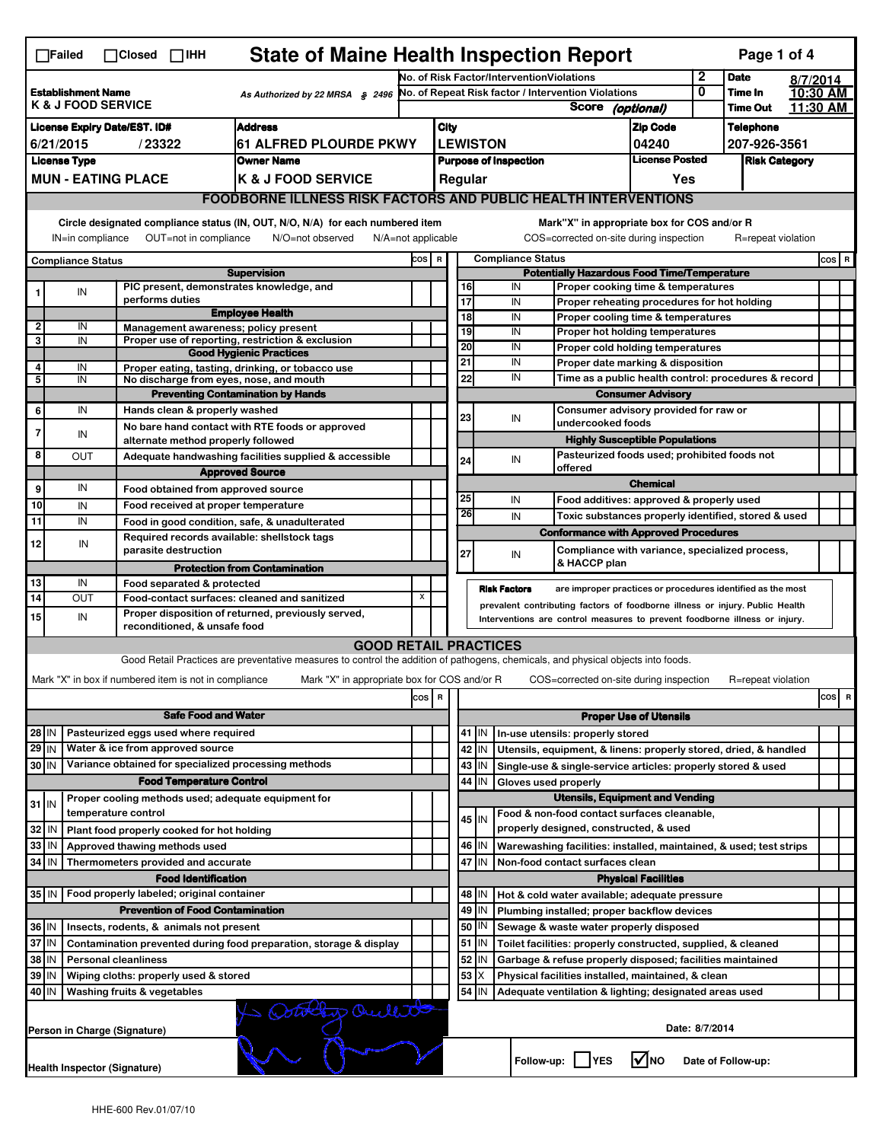| <b>State of Maine Health Inspection Report</b><br>Page 1 of 4<br>$\Box$ Failed<br>$\Box$ Closed $\Box$ IHH                                                                |                                                      |                     |                                                                                                                                                                                                  |                                                                                                                                   |                                                 |                                                                                          |                                                                                   |                                                                    |                          |                                                                                                 |                               |                            |                                  |                      |           |
|---------------------------------------------------------------------------------------------------------------------------------------------------------------------------|------------------------------------------------------|---------------------|--------------------------------------------------------------------------------------------------------------------------------------------------------------------------------------------------|-----------------------------------------------------------------------------------------------------------------------------------|-------------------------------------------------|------------------------------------------------------------------------------------------|-----------------------------------------------------------------------------------|--------------------------------------------------------------------|--------------------------|-------------------------------------------------------------------------------------------------|-------------------------------|----------------------------|----------------------------------|----------------------|-----------|
|                                                                                                                                                                           |                                                      |                     |                                                                                                                                                                                                  |                                                                                                                                   |                                                 |                                                                                          | No. of Risk Factor/InterventionViolations                                         |                                                                    |                          |                                                                                                 | 2                             | <b>Date</b>                | 8/7/2014                         |                      |           |
| <b>Establishment Name</b><br>As Authorized by 22 MRSA § 2496<br><b>K &amp; J FOOD SERVICE</b>                                                                             |                                                      |                     |                                                                                                                                                                                                  |                                                                                                                                   |                                                 |                                                                                          | No. of Repeat Risk factor / Intervention Violations<br><b>Score</b><br>(optional) |                                                                    |                          |                                                                                                 | 0                             | Time In<br><b>Time Out</b> |                                  | 10:30 AM<br>11:30 AM |           |
|                                                                                                                                                                           |                                                      |                     |                                                                                                                                                                                                  |                                                                                                                                   |                                                 |                                                                                          |                                                                                   |                                                                    |                          |                                                                                                 |                               |                            |                                  |                      |           |
| <b>Address</b><br><b>License Expiry Date/EST. ID#</b><br>/23322<br><b>61 ALFRED PLOURDE PKWY</b><br>6/21/2015                                                             |                                                      |                     |                                                                                                                                                                                                  |                                                                                                                                   |                                                 | <b>City</b>                                                                              |                                                                                   |                                                                    |                          |                                                                                                 | <b>Zip Code</b><br>04240      |                            | <b>Telephone</b><br>207-926-3561 |                      |           |
| <b>License Type</b><br><b>Owner Name</b>                                                                                                                                  |                                                      |                     |                                                                                                                                                                                                  |                                                                                                                                   | <b>LEWISTON</b><br><b>Purpose of Inspection</b> |                                                                                          |                                                                                   |                                                                    |                          |                                                                                                 | <b>License Posted</b>         |                            | <b>Risk Category</b>             |                      |           |
| <b>MUN - EATING PLACE</b><br><b>K &amp; J FOOD SERVICE</b>                                                                                                                |                                                      |                     |                                                                                                                                                                                                  |                                                                                                                                   |                                                 |                                                                                          |                                                                                   | Regular                                                            |                          |                                                                                                 | Yes                           |                            |                                  |                      |           |
| <b>FOODBORNE ILLNESS RISK FACTORS AND PUBLIC HEALTH INTERVENTIONS</b>                                                                                                     |                                                      |                     |                                                                                                                                                                                                  |                                                                                                                                   |                                                 |                                                                                          |                                                                                   |                                                                    |                          |                                                                                                 |                               |                            |                                  |                      |           |
|                                                                                                                                                                           |                                                      |                     |                                                                                                                                                                                                  |                                                                                                                                   |                                                 |                                                                                          |                                                                                   |                                                                    |                          |                                                                                                 |                               |                            |                                  |                      |           |
| Circle designated compliance status (IN, OUT, N/O, N/A) for each numbered item<br>OUT=not in compliance<br>IN=in compliance<br>N/O=not observed<br>$N/A = not$ applicable |                                                      |                     |                                                                                                                                                                                                  |                                                                                                                                   |                                                 |                                                                                          |                                                                                   |                                                                    |                          | Mark"X" in appropriate box for COS and/or R<br>COS=corrected on-site during inspection          |                               |                            | R=repeat violation               |                      |           |
|                                                                                                                                                                           | <b>Compliance Status</b>                             |                     |                                                                                                                                                                                                  |                                                                                                                                   | COS R                                           |                                                                                          |                                                                                   |                                                                    | <b>Compliance Status</b> |                                                                                                 |                               |                            |                                  |                      | $cos$ R   |
| <b>Supervision</b>                                                                                                                                                        |                                                      |                     |                                                                                                                                                                                                  |                                                                                                                                   |                                                 | <b>Potentially Hazardous Food Time/Temperature</b><br>Proper cooking time & temperatures |                                                                                   |                                                                    |                          |                                                                                                 |                               |                            |                                  |                      |           |
|                                                                                                                                                                           | IN                                                   |                     | performs duties                                                                                                                                                                                  | PIC present, demonstrates knowledge, and                                                                                          |                                                 |                                                                                          | 17                                                                                | 16                                                                 | IN<br>IN                 | Proper reheating procedures for hot holding                                                     |                               |                            |                                  |                      |           |
|                                                                                                                                                                           |                                                      |                     |                                                                                                                                                                                                  | <b>Employee Health</b>                                                                                                            |                                                 |                                                                                          | 18                                                                                |                                                                    | IN                       | Proper cooling time & temperatures                                                              |                               |                            |                                  |                      |           |
| $\mathbf{2}$                                                                                                                                                              | IN                                                   |                     |                                                                                                                                                                                                  | Management awareness; policy present                                                                                              |                                                 |                                                                                          | 19                                                                                |                                                                    | IN                       | Proper hot holding temperatures                                                                 |                               |                            |                                  |                      |           |
| 3                                                                                                                                                                         | IN                                                   |                     |                                                                                                                                                                                                  | Proper use of reporting, restriction & exclusion<br><b>Good Hygienic Practices</b>                                                |                                                 |                                                                                          | 20                                                                                |                                                                    | IN                       | Proper cold holding temperatures                                                                |                               |                            |                                  |                      |           |
| 4                                                                                                                                                                         | IN                                                   |                     |                                                                                                                                                                                                  | Proper eating, tasting, drinking, or tobacco use                                                                                  |                                                 |                                                                                          | 21                                                                                |                                                                    | IN                       | Proper date marking & disposition                                                               |                               |                            |                                  |                      |           |
| 5                                                                                                                                                                         | IN                                                   |                     |                                                                                                                                                                                                  | No discharge from eyes, nose, and mouth                                                                                           |                                                 |                                                                                          |                                                                                   | 22                                                                 | IN                       | Time as a public health control: procedures & record                                            |                               |                            |                                  |                      |           |
| 6                                                                                                                                                                         | IN                                                   |                     | Hands clean & properly washed                                                                                                                                                                    | <b>Preventing Contamination by Hands</b>                                                                                          |                                                 |                                                                                          |                                                                                   |                                                                    |                          | Consumer advisory provided for raw or                                                           | <b>Consumer Advisory</b>      |                            |                                  |                      |           |
|                                                                                                                                                                           |                                                      |                     |                                                                                                                                                                                                  | No bare hand contact with RTE foods or approved                                                                                   |                                                 |                                                                                          | 23                                                                                |                                                                    | IN                       | undercooked foods                                                                               |                               |                            |                                  |                      |           |
| 7                                                                                                                                                                         | IN                                                   |                     | alternate method properly followed                                                                                                                                                               |                                                                                                                                   |                                                 |                                                                                          |                                                                                   |                                                                    |                          | <b>Highly Susceptible Populations</b>                                                           |                               |                            |                                  |                      |           |
| 8                                                                                                                                                                         | OUT                                                  |                     |                                                                                                                                                                                                  | Adequate handwashing facilities supplied & accessible                                                                             |                                                 |                                                                                          | 24                                                                                |                                                                    | IN                       | Pasteurized foods used; prohibited foods not                                                    |                               |                            |                                  |                      |           |
|                                                                                                                                                                           |                                                      |                     |                                                                                                                                                                                                  | <b>Approved Source</b>                                                                                                            |                                                 |                                                                                          |                                                                                   |                                                                    |                          | offered                                                                                         |                               |                            |                                  |                      |           |
| 9                                                                                                                                                                         | IN                                                   |                     | Food obtained from approved source                                                                                                                                                               |                                                                                                                                   |                                                 |                                                                                          | 25                                                                                |                                                                    | IN                       |                                                                                                 | <b>Chemical</b>               |                            |                                  |                      |           |
| 10                                                                                                                                                                        | IN                                                   |                     | Food received at proper temperature                                                                                                                                                              |                                                                                                                                   |                                                 |                                                                                          | 26                                                                                |                                                                    | IN                       | Food additives: approved & properly used<br>Toxic substances properly identified, stored & used |                               |                            |                                  |                      |           |
| 11                                                                                                                                                                        | IN                                                   |                     |                                                                                                                                                                                                  | Food in good condition, safe, & unadulterated                                                                                     |                                                 |                                                                                          |                                                                                   |                                                                    |                          | <b>Conformance with Approved Procedures</b>                                                     |                               |                            |                                  |                      |           |
| 12                                                                                                                                                                        | IN                                                   |                     | parasite destruction                                                                                                                                                                             | Required records available: shellstock tags                                                                                       |                                                 |                                                                                          | 27                                                                                |                                                                    | IN                       | Compliance with variance, specialized process,                                                  |                               |                            |                                  |                      |           |
|                                                                                                                                                                           |                                                      |                     |                                                                                                                                                                                                  | <b>Protection from Contamination</b>                                                                                              |                                                 |                                                                                          |                                                                                   |                                                                    |                          | & HACCP plan                                                                                    |                               |                            |                                  |                      |           |
| 13                                                                                                                                                                        | IN                                                   |                     | Food separated & protected                                                                                                                                                                       |                                                                                                                                   |                                                 |                                                                                          |                                                                                   |                                                                    | <b>Risk Factors</b>      |                                                                                                 |                               |                            |                                  |                      |           |
| 14                                                                                                                                                                        | OUT                                                  |                     | are improper practices or procedures identified as the most<br>X<br>Food-contact surfaces: cleaned and sanitized<br>prevalent contributing factors of foodborne illness or injury. Public Health |                                                                                                                                   |                                                 |                                                                                          |                                                                                   |                                                                    |                          |                                                                                                 |                               |                            |                                  |                      |           |
| 15                                                                                                                                                                        | IN                                                   |                     | reconditioned, & unsafe food                                                                                                                                                                     | Proper disposition of returned, previously served,                                                                                |                                                 | Interventions are control measures to prevent foodborne illness or injury.               |                                                                                   |                                                                    |                          |                                                                                                 |                               |                            |                                  |                      |           |
|                                                                                                                                                                           |                                                      |                     |                                                                                                                                                                                                  | <b>GOOD RETAIL PRACTICES</b>                                                                                                      |                                                 |                                                                                          |                                                                                   |                                                                    |                          |                                                                                                 |                               |                            |                                  |                      |           |
|                                                                                                                                                                           |                                                      |                     |                                                                                                                                                                                                  | Good Retail Practices are preventative measures to control the addition of pathogens, chemicals, and physical objects into foods. |                                                 |                                                                                          |                                                                                   |                                                                    |                          |                                                                                                 |                               |                            |                                  |                      |           |
|                                                                                                                                                                           |                                                      |                     | Mark "X" in box if numbered item is not in compliance                                                                                                                                            | Mark "X" in appropriate box for COS and/or R                                                                                      |                                                 |                                                                                          |                                                                                   |                                                                    |                          | COS=corrected on-site during inspection                                                         |                               |                            | R=repeat violation               |                      |           |
|                                                                                                                                                                           |                                                      |                     |                                                                                                                                                                                                  |                                                                                                                                   | COS R                                           |                                                                                          |                                                                                   |                                                                    |                          |                                                                                                 |                               |                            |                                  |                      | cosl<br>R |
| <b>Safe Food and Water</b>                                                                                                                                                |                                                      |                     |                                                                                                                                                                                                  |                                                                                                                                   |                                                 |                                                                                          |                                                                                   |                                                                    |                          |                                                                                                 | <b>Proper Use of Utensils</b> |                            |                                  |                      |           |
| 28 IN                                                                                                                                                                     |                                                      |                     | Pasteurized eggs used where required                                                                                                                                                             |                                                                                                                                   |                                                 |                                                                                          |                                                                                   | 41   IN                                                            |                          | In-use utensils: properly stored                                                                |                               |                            |                                  |                      |           |
| $29$ IN<br>Water & ice from approved source                                                                                                                               |                                                      |                     |                                                                                                                                                                                                  |                                                                                                                                   |                                                 |                                                                                          |                                                                                   | 42<br>IN                                                           |                          | Utensils, equipment, & linens: properly stored, dried, & handled                                |                               |                            |                                  |                      |           |
| Variance obtained for specialized processing methods<br>30 IN                                                                                                             |                                                      |                     |                                                                                                                                                                                                  |                                                                                                                                   |                                                 |                                                                                          |                                                                                   | 43<br>IN                                                           |                          | Single-use & single-service articles: properly stored & used                                    |                               |                            |                                  |                      |           |
|                                                                                                                                                                           |                                                      |                     | <b>Food Temperature Control</b>                                                                                                                                                                  |                                                                                                                                   |                                                 |                                                                                          | 44<br>IN<br>Gloves used properly                                                  |                                                                    |                          |                                                                                                 |                               |                            |                                  |                      |           |
| $31$ IN                                                                                                                                                                   |                                                      |                     |                                                                                                                                                                                                  | Proper cooling methods used; adequate equipment for                                                                               |                                                 |                                                                                          |                                                                                   |                                                                    |                          | <b>Utensils, Equipment and Vending</b>                                                          |                               |                            |                                  |                      |           |
| 32                                                                                                                                                                        | IN                                                   | temperature control |                                                                                                                                                                                                  |                                                                                                                                   |                                                 |                                                                                          |                                                                                   | 45 I IN                                                            |                          | Food & non-food contact surfaces cleanable,<br>properly designed, constructed, & used           |                               |                            |                                  |                      |           |
| 33                                                                                                                                                                        | IN                                                   |                     | Plant food properly cooked for hot holding<br>Approved thawing methods used                                                                                                                      |                                                                                                                                   |                                                 |                                                                                          |                                                                                   | 46<br>IN                                                           |                          | Warewashing facilities: installed, maintained, & used; test strips                              |                               |                            |                                  |                      |           |
| 34 IN                                                                                                                                                                     |                                                      |                     | Thermometers provided and accurate                                                                                                                                                               |                                                                                                                                   |                                                 |                                                                                          |                                                                                   | 47 IN                                                              |                          | Non-food contact surfaces clean                                                                 |                               |                            |                                  |                      |           |
|                                                                                                                                                                           |                                                      |                     | <b>Food Identification</b>                                                                                                                                                                       |                                                                                                                                   |                                                 |                                                                                          |                                                                                   |                                                                    |                          |                                                                                                 | <b>Physical Facilities</b>    |                            |                                  |                      |           |
|                                                                                                                                                                           | 35   IN<br>Food properly labeled; original container |                     |                                                                                                                                                                                                  |                                                                                                                                   |                                                 |                                                                                          |                                                                                   | 48   IN                                                            |                          | Hot & cold water available; adequate pressure                                                   |                               |                            |                                  |                      |           |
| <b>Prevention of Food Contamination</b>                                                                                                                                   |                                                      |                     |                                                                                                                                                                                                  |                                                                                                                                   |                                                 |                                                                                          |                                                                                   | 49<br>IN                                                           |                          | Plumbing installed; proper backflow devices                                                     |                               |                            |                                  |                      |           |
| 36 IN<br>Insects, rodents, & animals not present                                                                                                                          |                                                      |                     |                                                                                                                                                                                                  |                                                                                                                                   |                                                 |                                                                                          | 50   IN<br>Sewage & waste water properly disposed                                 |                                                                    |                          |                                                                                                 |                               |                            |                                  |                      |           |
| 37 IN<br>Contamination prevented during food preparation, storage & display                                                                                               |                                                      |                     |                                                                                                                                                                                                  |                                                                                                                                   |                                                 |                                                                                          |                                                                                   | $51$ M                                                             |                          | Toilet facilities: properly constructed, supplied, & cleaned                                    |                               |                            |                                  |                      |           |
| 38 IN<br><b>Personal cleanliness</b>                                                                                                                                      |                                                      |                     |                                                                                                                                                                                                  |                                                                                                                                   |                                                 |                                                                                          | 52<br>IN<br>Garbage & refuse properly disposed; facilities maintained             |                                                                    |                          |                                                                                                 |                               |                            |                                  |                      |           |
| 39 IN<br>Wiping cloths: properly used & stored                                                                                                                            |                                                      |                     |                                                                                                                                                                                                  |                                                                                                                                   |                                                 |                                                                                          | 53<br>Physical facilities installed, maintained, & clean                          |                                                                    |                          |                                                                                                 |                               |                            |                                  |                      |           |
|                                                                                                                                                                           | 40 IN<br>Washing fruits & vegetables                 |                     |                                                                                                                                                                                                  |                                                                                                                                   |                                                 |                                                                                          |                                                                                   | 54<br>IN<br>Adequate ventilation & lighting; designated areas used |                          |                                                                                                 |                               |                            |                                  |                      |           |
|                                                                                                                                                                           | they Ouilletto<br>Person in Charge (Signature)       |                     |                                                                                                                                                                                                  |                                                                                                                                   |                                                 |                                                                                          | Date: 8/7/2014                                                                    |                                                                    |                          |                                                                                                 |                               |                            |                                  |                      |           |
|                                                                                                                                                                           | Health Inspector (Signature)                         |                     |                                                                                                                                                                                                  |                                                                                                                                   |                                                 |                                                                                          |                                                                                   |                                                                    |                          | Follow-up:     YES                                                                              | l√lno                         |                            | Date of Follow-up:               |                      |           |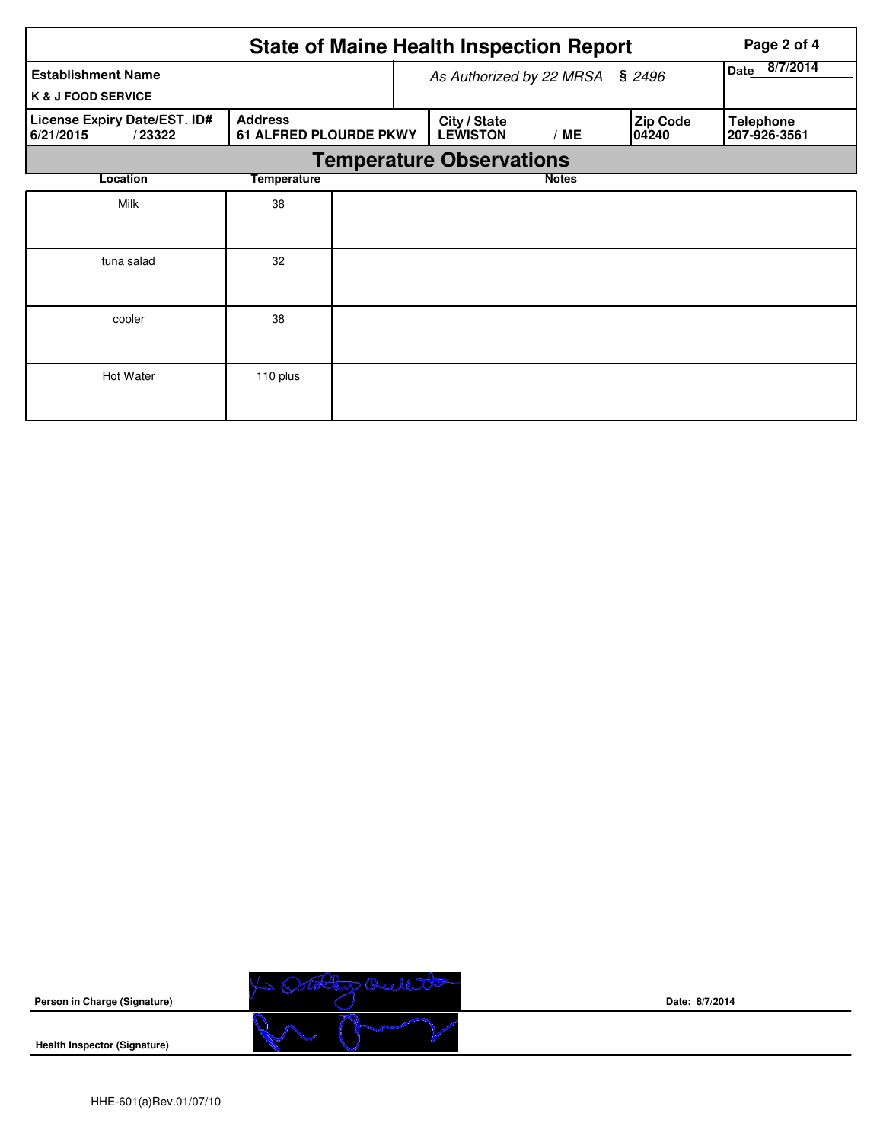|                                                            | Page 2 of 4                                     |  |                                 |                         |                          |                                  |  |  |  |
|------------------------------------------------------------|-------------------------------------------------|--|---------------------------------|-------------------------|--------------------------|----------------------------------|--|--|--|
| <b>Establishment Name</b><br><b>K &amp; J FOOD SERVICE</b> |                                                 |  | As Authorized by 22 MRSA § 2496 | 8/7/2014<br><b>Date</b> |                          |                                  |  |  |  |
| License Expiry Date/EST. ID#<br>6/21/2015<br>/23322        | <b>Address</b><br><b>61 ALFRED PLOURDE PKWY</b> |  | City / State<br><b>LEWISTON</b> | /ME                     | <b>Zip Code</b><br>04240 | <b>Telephone</b><br>207-926-3561 |  |  |  |
| <b>Temperature Observations</b>                            |                                                 |  |                                 |                         |                          |                                  |  |  |  |
| Location                                                   | Temperature                                     |  |                                 |                         |                          |                                  |  |  |  |
| Milk                                                       | 38                                              |  |                                 |                         |                          |                                  |  |  |  |
| tuna salad                                                 | 32                                              |  |                                 |                         |                          |                                  |  |  |  |
| cooler                                                     | 38                                              |  |                                 |                         |                          |                                  |  |  |  |
| Hot Water                                                  | 110 plus                                        |  |                                 |                         |                          |                                  |  |  |  |



**Date: 8/7/2014**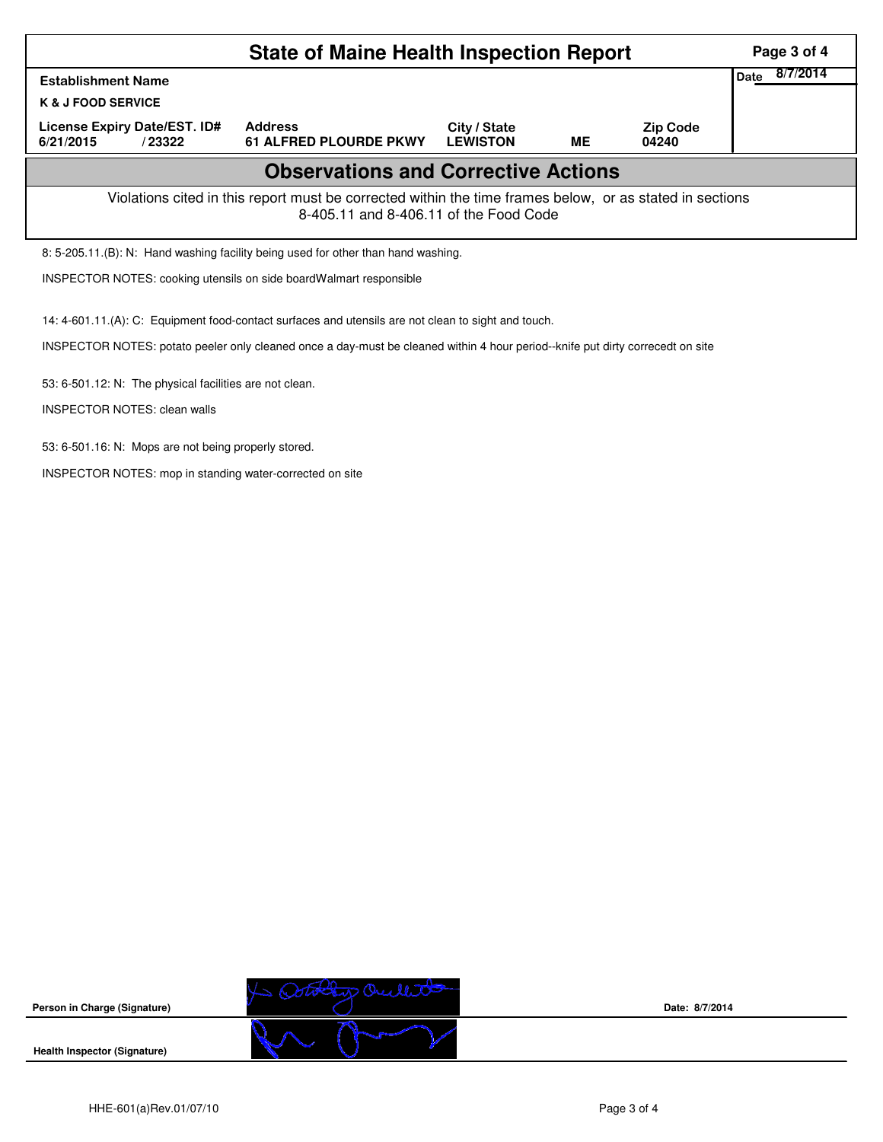|                                                                                                                                                    | Page 3 of 4                                     |                                 |           |                          |  |  |  |  |  |
|----------------------------------------------------------------------------------------------------------------------------------------------------|-------------------------------------------------|---------------------------------|-----------|--------------------------|--|--|--|--|--|
| <b>Establishment Name</b>                                                                                                                          | 8/7/2014<br>Date                                |                                 |           |                          |  |  |  |  |  |
| <b>K &amp; J FOOD SERVICE</b>                                                                                                                      |                                                 |                                 |           |                          |  |  |  |  |  |
| License Expiry Date/EST. ID#<br>6/21/2015<br>/23322                                                                                                | <b>Address</b><br><b>61 ALFRED PLOURDE PKWY</b> | City / State<br><b>LEWISTON</b> | <b>ME</b> | <b>Zip Code</b><br>04240 |  |  |  |  |  |
| <b>Observations and Corrective Actions</b>                                                                                                         |                                                 |                                 |           |                          |  |  |  |  |  |
| Violations cited in this report must be corrected within the time frames below, or as stated in sections<br>8-405.11 and 8-406.11 of the Food Code |                                                 |                                 |           |                          |  |  |  |  |  |
| 8: 5-205.11.(B): N: Hand washing facility being used for other than hand washing.                                                                  |                                                 |                                 |           |                          |  |  |  |  |  |

INSPECTOR NOTES: cooking utensils on side boardWalmart responsible

14: 4-601.11.(A): C: Equipment food-contact surfaces and utensils are not clean to sight and touch.

INSPECTOR NOTES: potato peeler only cleaned once a day-must be cleaned within 4 hour period--knife put dirty correcedt on site

53: 6-501.12: N: The physical facilities are not clean.

INSPECTOR NOTES: clean walls

53: 6-501.16: N: Mops are not being properly stored.

INSPECTOR NOTES: mop in standing water-corrected on site



**Date: 8/7/2014**